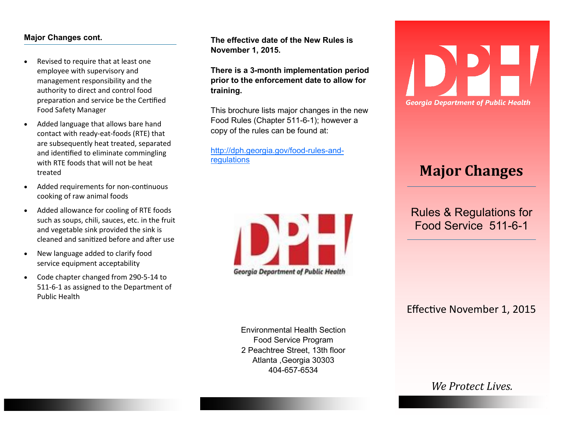## **Major Changes cont.**

- Revised to require that at least one employee with supervisory and management responsibility and the authority to direct and control food preparation and service be the Certified Food Safety Manager
- Added language that allows bare hand contact with ready-eat-foods (RTE) that are subsequently heat treated, separated and identified to eliminate commingling with RTE foods that will not be heat treated
- Added requirements for non-continuous cooking of raw animal foods
- Added allowance for cooling of RTE foods such as soups, chili, sauces, etc. in the fruit and vegetable sink provided the sink is cleaned and sanitized before and after use
- New language added to clarify food service equipment acceptability
- Code chapter changed from 290-5-14 to 511-6-1 as assigned to the Department of Public Health

**The effective date of the New Rules is November 1, 2015.** 

**There is a 3-month implementation period prior to the enforcement date to allow for training.** 

This brochure lists major changes in the new Food Rules (Chapter 511-6-1); however a copy of the rules can be found at:

[http://dph.georgia.gov/food](http://dph.georgia.gov/food-rules-and-regulations)-rules-and[regulations](http://dph.georgia.gov/food-rules-and-regulations)



Environmental Health Section Food Service Program 2 Peachtree Street, 13th floor Atlanta ,Georgia 30303 404-657-6534



## **Major Changes**

Rules & Regulations for Food Service 511-6-1

Effective November 1, 2015

*We Protect Lives.*